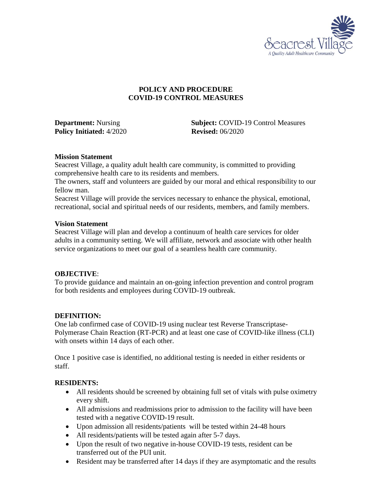

## **POLICY AND PROCEDURE COVID-19 CONTROL MEASURES**

**Policy Initiated:** 4/2020 **Revised:** 06/2020

**Department:** Nursing **Subject:** COVID-19 Control Measures

#### **Mission Statement**

Seacrest Village, a quality adult health care community, is committed to providing comprehensive health care to its residents and members.

The owners, staff and volunteers are guided by our moral and ethical responsibility to our fellow man.

Seacrest Village will provide the services necessary to enhance the physical, emotional, recreational, social and spiritual needs of our residents, members, and family members.

#### **Vision Statement**

Seacrest Village will plan and develop a continuum of health care services for older adults in a community setting. We will affiliate, network and associate with other health service organizations to meet our goal of a seamless health care community.

## **OBJECTIVE**:

To provide guidance and maintain an on-going infection prevention and control program for both residents and employees during COVID-19 outbreak.

## **DEFINITION:**

One lab confirmed case of COVID-19 using nuclear test Reverse Transcriptase-Polymerase Chain Reaction (RT-PCR) and at least one case of COVID-like illness (CLI) with onsets within 14 days of each other.

Once 1 positive case is identified, no additional testing is needed in either residents or staff.

#### **RESIDENTS:**

- All residents should be screened by obtaining full set of vitals with pulse oximetry every shift.
- All admissions and readmissions prior to admission to the facility will have been tested with a negative COVID-19 result.
- Upon admission all residents/patients will be tested within 24-48 hours
- All residents/patients will be tested again after 5-7 days.
- Upon the result of two negative in-house COVID-19 tests, resident can be transferred out of the PUI unit.
- Resident may be transferred after 14 days if they are asymptomatic and the results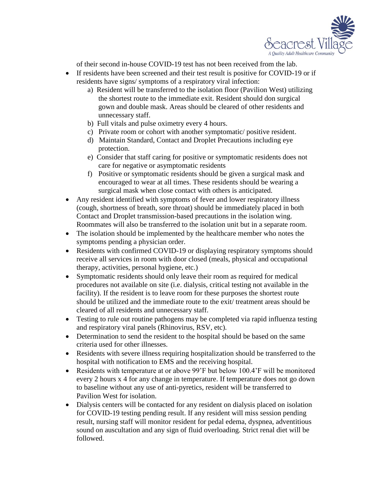

of their second in-house COVID-19 test has not been received from the lab.

- If residents have been screened and their test result is positive for COVID-19 or if residents have signs/ symptoms of a respiratory viral infection:
	- a) Resident will be transferred to the isolation floor (Pavilion West) utilizing the shortest route to the immediate exit. Resident should don surgical gown and double mask. Areas should be cleared of other residents and unnecessary staff.
	- b) Full vitals and pulse oximetry every 4 hours.
	- c) Private room or cohort with another symptomatic/ positive resident.
	- d) Maintain Standard, Contact and Droplet Precautions including eye protection.
	- e) Consider that staff caring for positive or symptomatic residents does not care for negative or asymptomatic residents
	- f) Positive or symptomatic residents should be given a surgical mask and encouraged to wear at all times. These residents should be wearing a surgical mask when close contact with others is anticipated.
- Any resident identified with symptoms of fever and lower respiratory illness (cough, shortness of breath, sore throat) should be immediately placed in both Contact and Droplet transmission-based precautions in the isolation wing. Roommates will also be transferred to the isolation unit but in a separate room.
- The isolation should be implemented by the healthcare member who notes the symptoms pending a physician order.
- Residents with confirmed COVID-19 or displaying respiratory symptoms should receive all services in room with door closed (meals, physical and occupational therapy, activities, personal hygiene, etc.)
- Symptomatic residents should only leave their room as required for medical procedures not available on site (i.e. dialysis, critical testing not available in the facility). If the resident is to leave room for these purposes the shortest route should be utilized and the immediate route to the exit/ treatment areas should be cleared of all residents and unnecessary staff.
- Testing to rule out routine pathogens may be completed via rapid influenza testing and respiratory viral panels (Rhinovirus, RSV, etc).
- Determination to send the resident to the hospital should be based on the same criteria used for other illnesses.
- Residents with severe illness requiring hospitalization should be transferred to the hospital with notification to EMS and the receiving hospital.
- Residents with temperature at or above 99'F but below 100.4'F will be monitored every 2 hours x 4 for any change in temperature. If temperature does not go down to baseline without any use of anti-pyretics, resident will be transferred to Pavilion West for isolation.
- Dialysis centers will be contacted for any resident on dialysis placed on isolation for COVID-19 testing pending result. If any resident will miss session pending result, nursing staff will monitor resident for pedal edema, dyspnea, adventitious sound on auscultation and any sign of fluid overloading. Strict renal diet will be followed.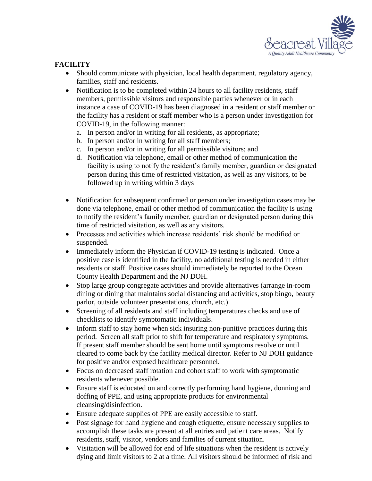

# **FACILITY**

- Should communicate with physician, local health department, regulatory agency, families, staff and residents.
- Notification is to be completed within 24 hours to all facility residents, staff members, permissible visitors and responsible parties whenever or in each instance a case of COVID-19 has been diagnosed in a resident or staff member or the facility has a resident or staff member who is a person under investigation for COVID-19, in the following manner:
	- a. In person and/or in writing for all residents, as appropriate;
	- b. In person and/or in writing for all staff members;
	- c. In person and/or in writing for all permissible visitors; and
	- d. Notification via telephone, email or other method of communication the facility is using to notify the resident's family member, guardian or designated person during this time of restricted visitation, as well as any visitors, to be followed up in writing within 3 days
- Notification for subsequent confirmed or person under investigation cases may be done via telephone, email or other method of communication the facility is using to notify the resident's family member, guardian or designated person during this time of restricted visitation, as well as any visitors.
- Processes and activities which increase residents' risk should be modified or suspended.
- Immediately inform the Physician if COVID-19 testing is indicated. Once a positive case is identified in the facility, no additional testing is needed in either residents or staff. Positive cases should immediately be reported to the Ocean County Health Department and the NJ DOH.
- Stop large group congregate activities and provide alternatives (arrange in-room dining or dining that maintains social distancing and activities, stop bingo, beauty parlor, outside volunteer presentations, church, etc.).
- Screening of all residents and staff including temperatures checks and use of checklists to identify symptomatic individuals.
- Inform staff to stay home when sick insuring non-punitive practices during this period. Screen all staff prior to shift for temperature and respiratory symptoms. If present staff member should be sent home until symptoms resolve or until cleared to come back by the facility medical director. Refer to NJ DOH guidance for positive and/or exposed healthcare personnel.
- Focus on decreased staff rotation and cohort staff to work with symptomatic residents whenever possible.
- Ensure staff is educated on and correctly performing hand hygiene, donning and doffing of PPE, and using appropriate products for environmental cleansing/disinfection.
- Ensure adequate supplies of PPE are easily accessible to staff.
- Post signage for hand hygiene and cough etiquette, ensure necessary supplies to accomplish these tasks are present at all entries and patient care areas. Notify residents, staff, visitor, vendors and families of current situation.
- Visitation will be allowed for end of life situations when the resident is actively dying and limit visitors to 2 at a time. All visitors should be informed of risk and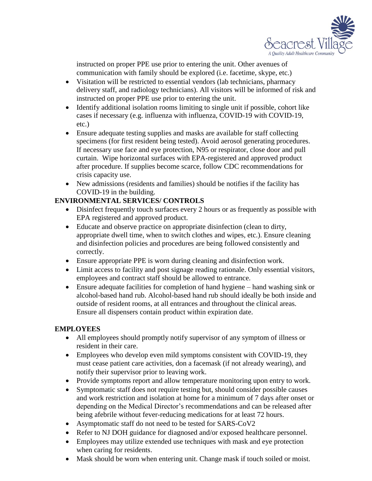

instructed on proper PPE use prior to entering the unit. Other avenues of communication with family should be explored (i.e. facetime, skype, etc.)

- Visitation will be restricted to essential vendors (lab technicians, pharmacy delivery staff, and radiology technicians). All visitors will be informed of risk and instructed on proper PPE use prior to entering the unit.
- Identify additional isolation rooms limiting to single unit if possible, cohort like cases if necessary (e.g. influenza with influenza, COVID-19 with COVID-19, etc.)
- Ensure adequate testing supplies and masks are available for staff collecting specimens (for first resident being tested). Avoid aerosol generating procedures. If necessary use face and eye protection, N95 or respirator, close door and pull curtain. Wipe horizontal surfaces with EPA-registered and approved product after procedure. If supplies become scarce, follow CDC recommendations for crisis capacity use.
- New admissions (residents and families) should be notifies if the facility has COVID-19 in the building.

# **ENVIRONMENTAL SERVICES/ CONTROLS**

- Disinfect frequently touch surfaces every 2 hours or as frequently as possible with EPA registered and approved product.
- Educate and observe practice on appropriate disinfection (clean to dirty, appropriate dwell time, when to switch clothes and wipes, etc.). Ensure cleaning and disinfection policies and procedures are being followed consistently and correctly.
- Ensure appropriate PPE is worn during cleaning and disinfection work.
- Limit access to facility and post signage reading rationale. Only essential visitors, employees and contract staff should be allowed to entrance.
- Ensure adequate facilities for completion of hand hygiene hand washing sink or alcohol-based hand rub. Alcohol-based hand rub should ideally be both inside and outside of resident rooms, at all entrances and throughout the clinical areas. Ensure all dispensers contain product within expiration date.

## **EMPLOYEES**

- All employees should promptly notify supervisor of any symptom of illness or resident in their care.
- Employees who develop even mild symptoms consistent with COVID-19, they must cease patient care activities, don a facemask (if not already wearing), and notify their supervisor prior to leaving work.
- Provide symptoms report and allow temperature monitoring upon entry to work.
- Symptomatic staff does not require testing but, should consider possible causes and work restriction and isolation at home for a minimum of 7 days after onset or depending on the Medical Director's recommendations and can be released after being afebrile without fever-reducing medications for at least 72 hours.
- Asymptomatic staff do not need to be tested for SARS-CoV2
- Refer to NJ DOH guidance for diagnosed and/or exposed healthcare personnel.
- Employees may utilize extended use techniques with mask and eye protection when caring for residents.
- Mask should be worn when entering unit. Change mask if touch soiled or moist.